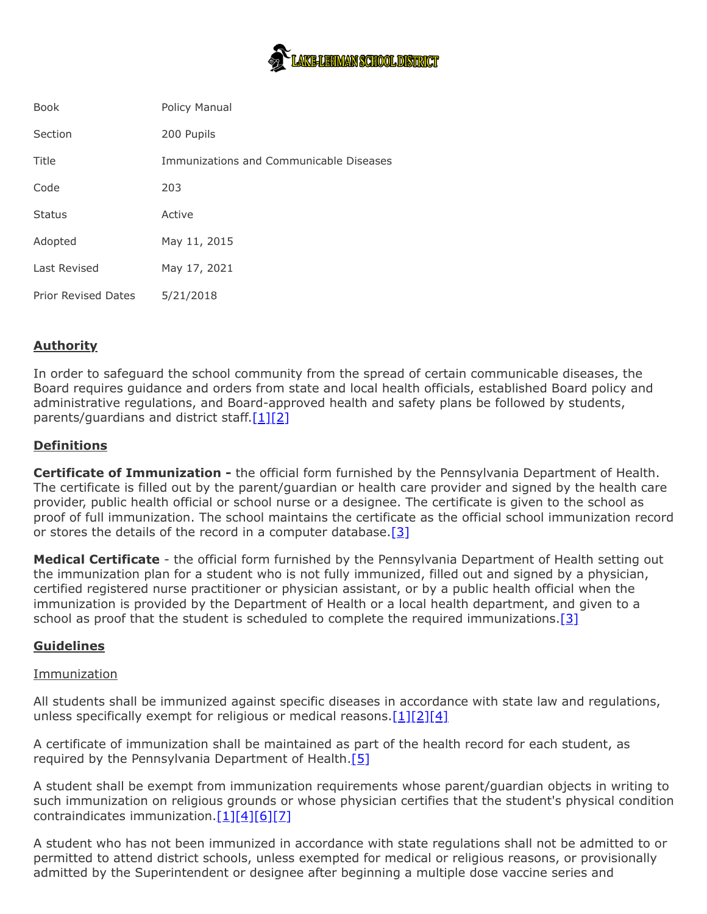

| <b>Book</b>                | Policy Manual                           |
|----------------------------|-----------------------------------------|
| Section                    | 200 Pupils                              |
| Title                      | Immunizations and Communicable Diseases |
| Code                       | 203                                     |
| <b>Status</b>              | Active                                  |
| Adopted                    | May 11, 2015                            |
| Last Revised               | May 17, 2021                            |
| <b>Prior Revised Dates</b> | 5/21/2018                               |

# **Authority**

In order to safeguard the school community from the spread of certain communicable diseases, the Board requires guidance and orders from state and local health officials, established Board policy and administrative regulations, and Board-approved health and safety plans be followed by students, parents/guardians and district staff. $[1][2]$  $[1][2]$ 

## **Definitions**

**Certificate of Immunization -** the official form furnished by the Pennsylvania Department of Health. The certificate is filled out by the parent/guardian or health care provider and signed by the health care provider, public health official or school nurse or a designee. The certificate is given to the school as proof of full immunization. The school maintains the certificate as the official school immunization record or stores the details of the record in a computer database. $[3]$ 

**Medical Certificate** - the official form furnished by the Pennsylvania Department of Health setting out the immunization plan for a student who is not fully immunized, filled out and signed by a physician, certified registered nurse practitioner or physician assistant, or by a public health official when the immunization is provided by the Department of Health or a local health department, and given to a school as proof that the student is scheduled to complete the required immunizations. $[3]$ 

### **Guidelines**

### Immunization

All students shall be immunized against specific diseases in accordance with state law and regulations, unless specifically exempt for religious or medical reasons. $[1][2][4]$  $[1][2][4]$  $[1][2][4]$ 

A certificate of immunization shall be maintained as part of the health record for each student, as required by the Pennsylvania Department of Health. $[5]$ 

A student shall be exempt from immunization requirements whose parent/guardian objects in writing to such immunization on religious grounds or whose physician certifies that the student's physical condition contraindicates immunization. $[1][4][6][7]$  $[1][4][6][7]$  $[1][4][6][7]$  $[1][4][6][7]$ 

A student who has not been immunized in accordance with state regulations shall not be admitted to or permitted to attend district schools, unless exempted for medical or religious reasons, or provisionally admitted by the Superintendent or designee after beginning a multiple dose vaccine series and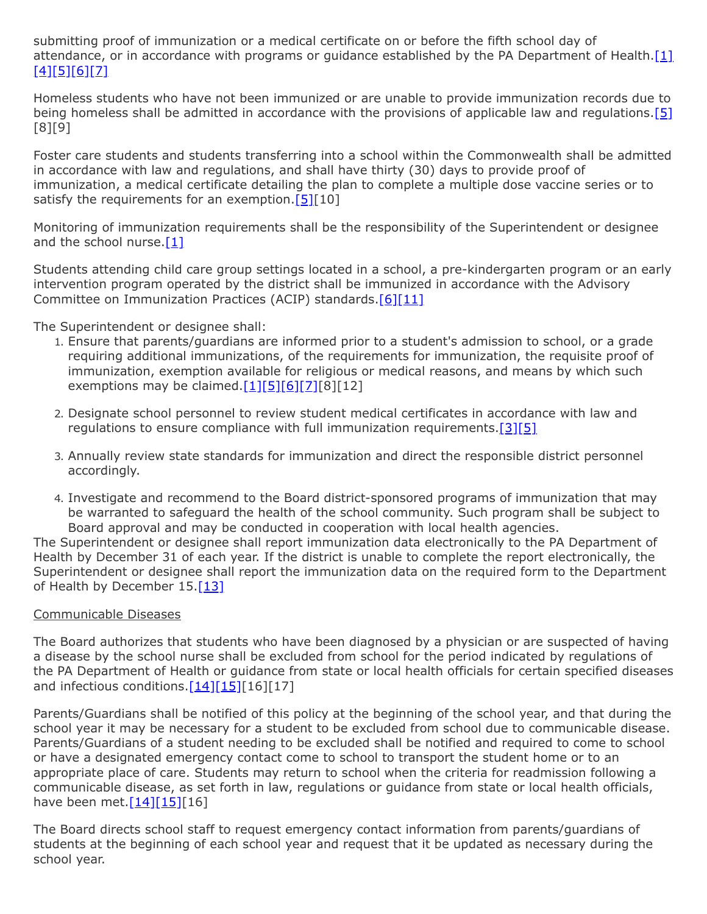submitting proof of immunization or a medical certificate on or before the fifth school day of attendance, or in accordance with programs or guidance established by the PA Department of Health.[\[1\]](http://www.legis.state.pa.us/cfdocs/legis/LI/uconsCheck.cfm?txtType=HTM&yr=1949&sessInd=0&smthLwInd=0&act=14&chpt=13&sctn=3&subsctn=0) [\[4\]](http://pacodeandbulletin.gov/Display/pacode?file=/secure/pacode/data/022/chapter11/s11.20.html&d=reduce)[\[5\]](http://pacodeandbulletin.gov/Display/pacode?file=/secure/pacode/data/028/chapter23/s23.85.html&d=reduce)[\[6\]](http://pacodeandbulletin.gov/Display/pacode?file=/secure/pacode/data/028/chapter23/s23.83.html&d=reduce)[\[7\]](http://pacodeandbulletin.gov/Display/pacode?file=/secure/pacode/data/028/chapter23/s23.84.html&d=reduce)

Homeless students who have not been immunized or are unable to provide immunization records due to being homeless shall be admitted in accordance with the provisions of applicable law and regulations.[\[5\]](http://pacodeandbulletin.gov/Display/pacode?file=/secure/pacode/data/028/chapter23/s23.85.html&d=reduce) [8][9]

Foster care students and students transferring into a school within the Commonwealth shall be admitted in accordance with law and regulations, and shall have thirty (30) days to provide proof of immunization, a medical certificate detailing the plan to complete a multiple dose vaccine series or to satisfy the requirements for an exemption.  $[5][10]$  $[5][10]$ 

Monitoring of immunization requirements shall be the responsibility of the Superintendent or designee and the school nurse. $[1]$ 

Students attending child care group settings located in a school, a pre-kindergarten program or an early intervention program operated by the district shall be immunized in accordance with the Advisory Committee on Immunization Practices (ACIP) standards.<sup>[6][\[11\]](http://pacodeandbulletin.gov/Display/pacode?file=/secure/pacode/data/028/chapter27/s27.77.html&d=reduce)</sup>

The Superintendent or designee shall:

- 1. Ensure that parents/guardians are informed prior to a student's admission to school, or a grade requiring additional immunizations, of the requirements for immunization, the requisite proof of immunization, exemption available for religious or medical reasons, and means by which such exemptions may be claimed. $[1][5][6][7][8][12]$  $[1][5][6][7][8][12]$  $[1][5][6][7][8][12]$  $[1][5][6][7][8][12]$  $[1][5][6][7][8][12]$
- 2. Designate school personnel to review student medical certificates in accordance with law and regulations to ensure compliance with full immunization requirements. $[3][5]$  $[3][5]$
- 3. Annually review state standards for immunization and direct the responsible district personnel accordingly.
- 4. Investigate and recommend to the Board district-sponsored programs of immunization that may be warranted to safeguard the health of the school community. Such program shall be subject to Board approval and may be conducted in cooperation with local health agencies.

The Superintendent or designee shall report immunization data electronically to the PA Department of Health by December 31 of each year. If the district is unable to complete the report electronically, the Superintendent or designee shall report the immunization data on the required form to the Department of Health by December  $15.13$ ]

### Communicable Diseases

The Board authorizes that students who have been diagnosed by a physician or are suspected of having a disease by the school nurse shall be excluded from school for the period indicated by regulations of the PA Department of Health or guidance from state or local health officials for certain specified diseases and infectious conditions. $[14][15][16][17]$  $[14][15][16][17]$  $[14][15][16][17]$ 

Parents/Guardians shall be notified of this policy at the beginning of the school year, and that during the school year it may be necessary for a student to be excluded from school due to communicable disease. Parents/Guardians of a student needing to be excluded shall be notified and required to come to school or have a designated emergency contact come to school to transport the student home or to an appropriate place of care. Students may return to school when the criteria for readmission following a communicable disease, as set forth in law, regulations or guidance from state or local health officials, have been met. $[14][15][16]$  $[14][15][16]$  $[14][15][16]$ 

The Board directs school staff to request emergency contact information from parents/guardians of students at the beginning of each school year and request that it be updated as necessary during the school year.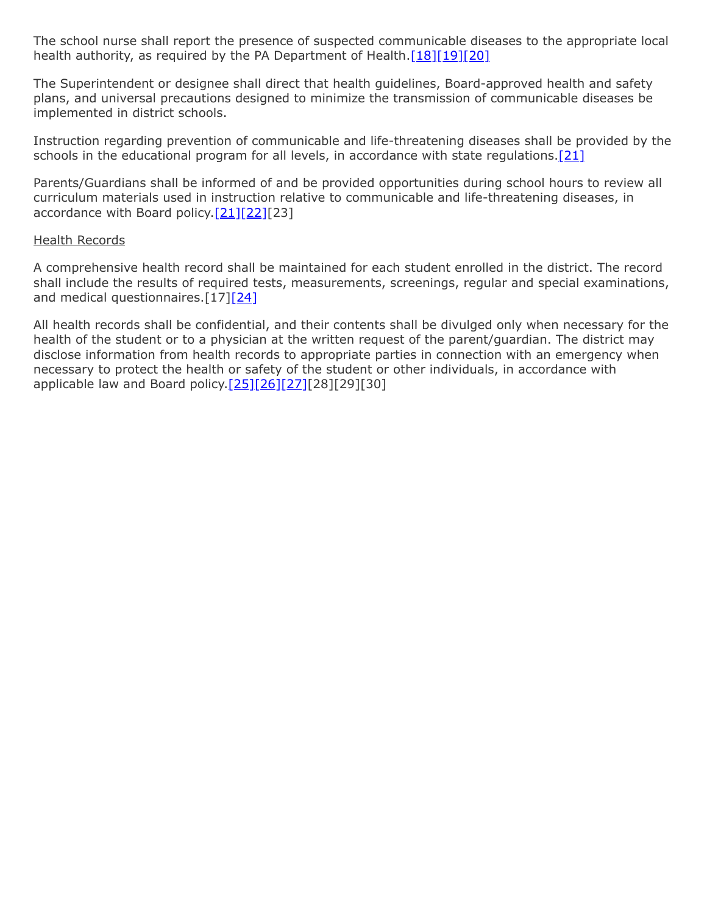The school nurse shall report the presence of suspected communicable diseases to the appropriate local health authority, as required by the PA Department of Health.[\[18\]](http://pacodeandbulletin.gov/Display/pacode?file=/secure/pacode/data/028/chapter27/s27.1.html&d=reduce)[\[19\]](http://pacodeandbulletin.gov/Display/pacode?file=/secure/pacode/data/028/chapter27/s27.2.html&d=reduce)[\[20\]](http://pacodeandbulletin.gov/Display/pacode?file=/secure/pacode/data/028/chapter27/s27.23.html&d=reduce)

The Superintendent or designee shall direct that health guidelines, Board-approved health and safety plans, and universal precautions designed to minimize the transmission of communicable diseases be implemented in district schools.

Instruction regarding prevention of communicable and life-threatening diseases shall be provided by the schools in the educational program for all levels, in accordance with state regulations.<sup>[\[21\]](http://pacodeandbulletin.gov/Display/pacode?file=/secure/pacode/data/022/chapter4/s4.29.html&d=reduce)</sup>

Parents/Guardians shall be informed of and be provided opportunities during school hours to review all curriculum materials used in instruction relative to communicable and life-threatening diseases, in accordance with Board policy. $[21][22][23]$  $[21][22][23]$  $[21][22][23]$ 

#### Health Records

A comprehensive health record shall be maintained for each student enrolled in the district. The record shall include the results of required tests, measurements, screenings, regular and special examinations, and medical questionnaires.[17[\]\[24\]](http://www.legis.state.pa.us/cfdocs/legis/LI/uconsCheck.cfm?txtType=HTM&yr=1949&sessInd=0&smthLwInd=0&act=14&chpt=14&sctn=2&subsctn=0)

All health records shall be confidential, and their contents shall be divulged only when necessary for the health of the student or to a physician at the written request of the parent/guardian. The district may disclose information from health records to appropriate parties in connection with an emergency when necessary to protect the health or safety of the student or other individuals, in accordance with applicable law and Board policy.[\[25\]](http://www.legis.state.pa.us/cfdocs/legis/LI/uconsCheck.cfm?txtType=HTM&yr=1949&sessInd=0&smthLwInd=0&act=14&chpt=14&sctn=9&subsctn=0)[\[26\]](http://www.law.cornell.edu/uscode/text/20/1232g)[\[27\]](http://www.law.cornell.edu/cfr/text/34/part-99)[28][29][30]